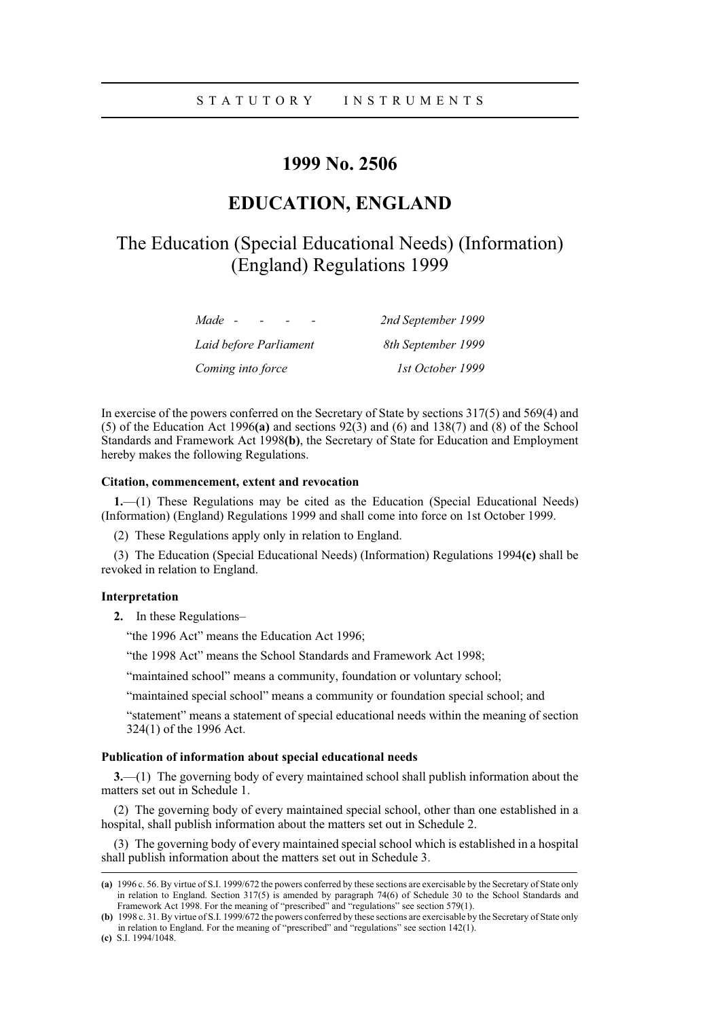## STATUTORY INSTRUMENTS

# **1999 No. 2506**

## **EDUCATION, ENGLAND**

# The Education (Special Educational Needs) (Information) (England) Regulations 1999

| Made -                 | 2nd September 1999 |
|------------------------|--------------------|
| Laid before Parliament | 8th September 1999 |
| Coming into force      | 1st October 1999   |

In exercise of the powers conferred on the Secretary of State by sections 317(5) and 569(4) and (5) of the Education Act 1996**(a)** and sections 92(3) and (6) and 138(7) and (8) of the School Standards and Framework Act 1998**(b)**, the Secretary of State for Education and Employment hereby makes the following Regulations.

#### **Citation, commencement, extent and revocation**

**1.**—(1) These Regulations may be cited as the Education (Special Educational Needs) (Information) (England) Regulations 1999 and shall come into force on 1st October 1999.

(2) These Regulations apply only in relation to England.

(3) The Education (Special Educational Needs) (Information) Regulations 1994**(c)** shall be revoked in relation to England.

#### **Interpretation**

**2.** In these Regulations–

"the 1996 Act" means the Education Act 1996;

"the 1998 Act" means the School Standards and Framework Act 1998;

"maintained school" means a community, foundation or voluntary school;

"maintained special school" means a community or foundation special school; and

"statement" means a statement of special educational needs within the meaning of section 324(1) of the 1996 Act.

#### **Publication of information about special educational needs**

**3.**—(1) The governing body of every maintained school shall publish information about the matters set out in Schedule 1.

(2) The governing body of every maintained special school, other than one established in a hospital, shall publish information about the matters set out in Schedule 2.

(3) The governing body of every maintained special school which is established in a hospital shall publish information about the matters set out in Schedule 3.

**<sup>(</sup>a)** 1996 c. 56. By virtue of S.I. 1999/672 the powers conferred by these sections are exercisable by the Secretary of State only in relation to England. Section 317(5) is amended by paragraph 74(6) of Schedule 30 to the School Standards and Framework Act 1998. For the meaning of "prescribed" and "regulations" see section 579(1).

**<sup>(</sup>b)** 1998 c. 31. By virtue of S.I. 1999/672 the powers conferred by these sections are exercisable by the Secretary of State only in relation to England. For the meaning of "prescribed" and "regulations" see section 142(1).

**<sup>(</sup>c)** S.I. 1994/1048.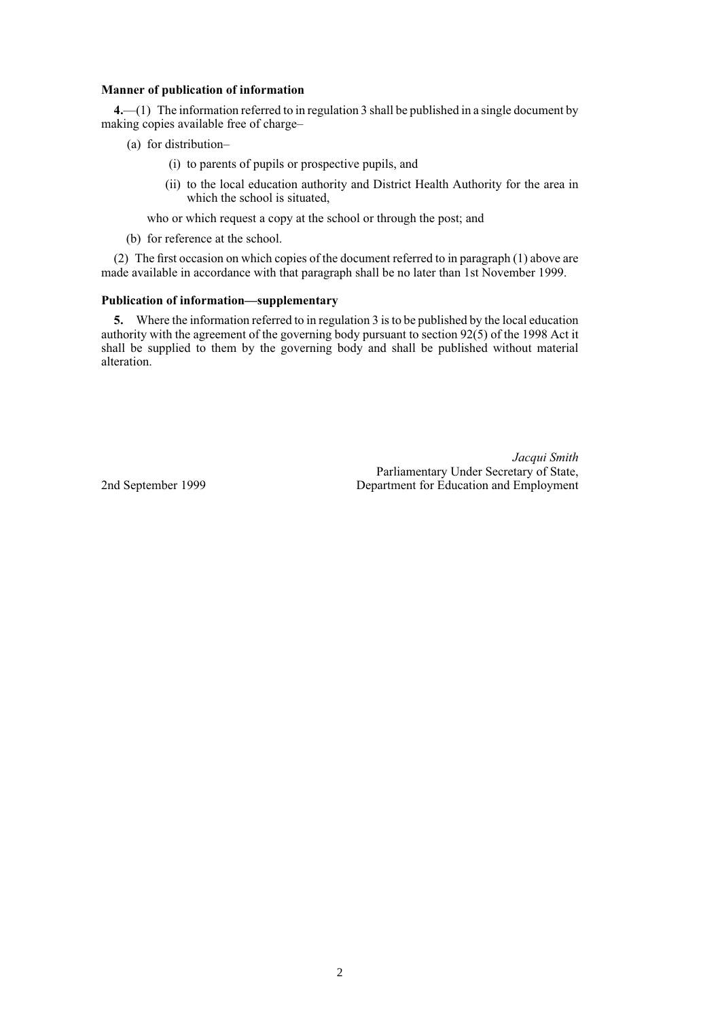#### **Manner of publication of information**

**4.**—(1) The information referred to in regulation 3 shall be published in a single document by making copies available free of charge–

- (a) for distribution–
	- (i) to parents of pupils or prospective pupils, and
	- (ii) to the local education authority and District Health Authority for the area in which the school is situated,

who or which request a copy at the school or through the post; and

(b) for reference at the school.

(2) The first occasion on which copies of the document referred to in paragraph (1) above are made available in accordance with that paragraph shall be no later than 1st November 1999.

#### **Publication of information—supplementary**

**5.** Where the information referred to in regulation 3 is to be published by the local education authority with the agreement of the governing body pursuant to section 92(5) of the 1998 Act it shall be supplied to them by the governing body and shall be published without material alteration.

*Jacqui Smith* Parliamentary Under Secretary of State, 2nd September 1999 Department for Education and Employment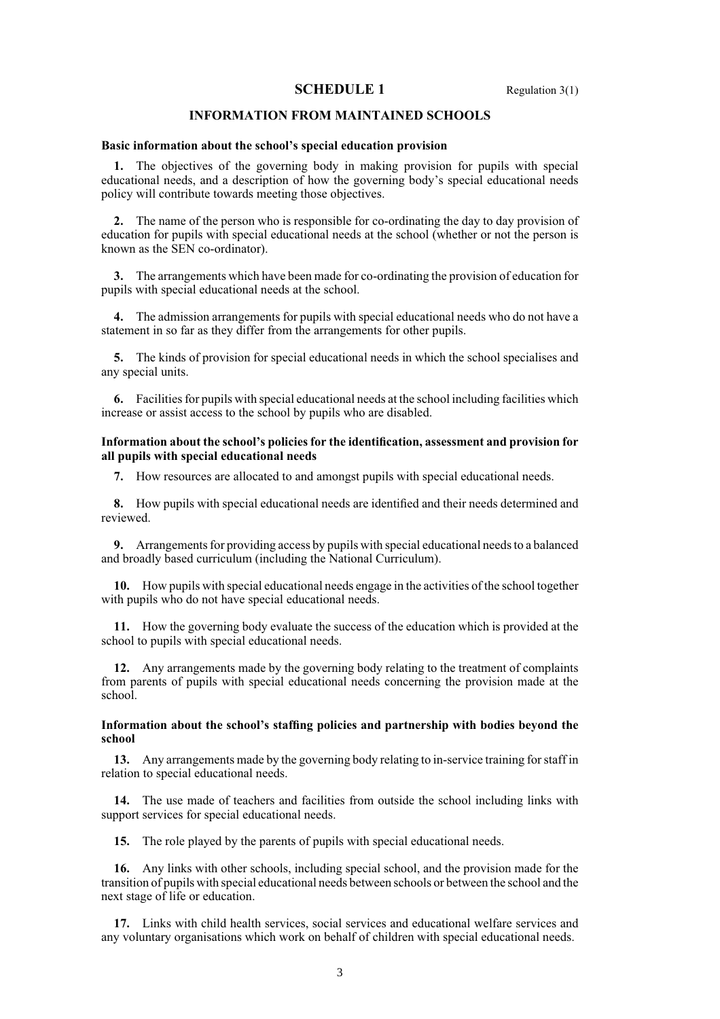## **SCHEDULE 1** Regulation 3(1)

## **INFORMATION FROM MAINTAINED SCHOOLS**

#### **Basic information about the school's special education provision**

**1.** The objectives of the governing body in making provision for pupils with special educational needs, and a description of how the governing body's special educational needs policy will contribute towards meeting those objectives.

**2.** The name of the person who is responsible for co-ordinating the day to day provision of education for pupils with special educational needs at the school (whether or not the person is known as the SEN co-ordinator).

**3.** The arrangements which have been made for co-ordinating the provision of education for pupils with special educational needs at the school.

**4.** The admission arrangements for pupils with special educational needs who do not have a statement in so far as they differ from the arrangements for other pupils.

**5.** The kinds of provision for special educational needs in which the school specialises and any special units.

**6.** Facilities for pupils with special educational needs at the school including facilities which increase or assist access to the school by pupils who are disabled.

#### **Information about the school's policies for the identification, assessment and provision for all pupils with special educational needs**

**7.** How resources are allocated to and amongst pupils with special educational needs.

**8.** How pupils with special educational needs are identified and their needs determined and reviewed.

**9.** Arrangements for providing access by pupils with special educational needs to a balanced and broadly based curriculum (including the National Curriculum).

**10.** How pupils with special educational needs engage in the activities of the school together with pupils who do not have special educational needs.

**11.** How the governing body evaluate the success of the education which is provided at the school to pupils with special educational needs.

**12.** Any arrangements made by the governing body relating to the treatment of complaints from parents of pupils with special educational needs concerning the provision made at the school.

#### **Information about the school's staffing policies and partnership with bodies beyond the school**

**13.** Any arrangements made by the governing body relating to in-service training for staff in relation to special educational needs.

**14.** The use made of teachers and facilities from outside the school including links with support services for special educational needs.

**15.** The role played by the parents of pupils with special educational needs.

**16.** Any links with other schools, including special school, and the provision made for the transition of pupils with special educational needs between schools or between the school and the next stage of life or education.

**17.** Links with child health services, social services and educational welfare services and any voluntary organisations which work on behalf of children with special educational needs.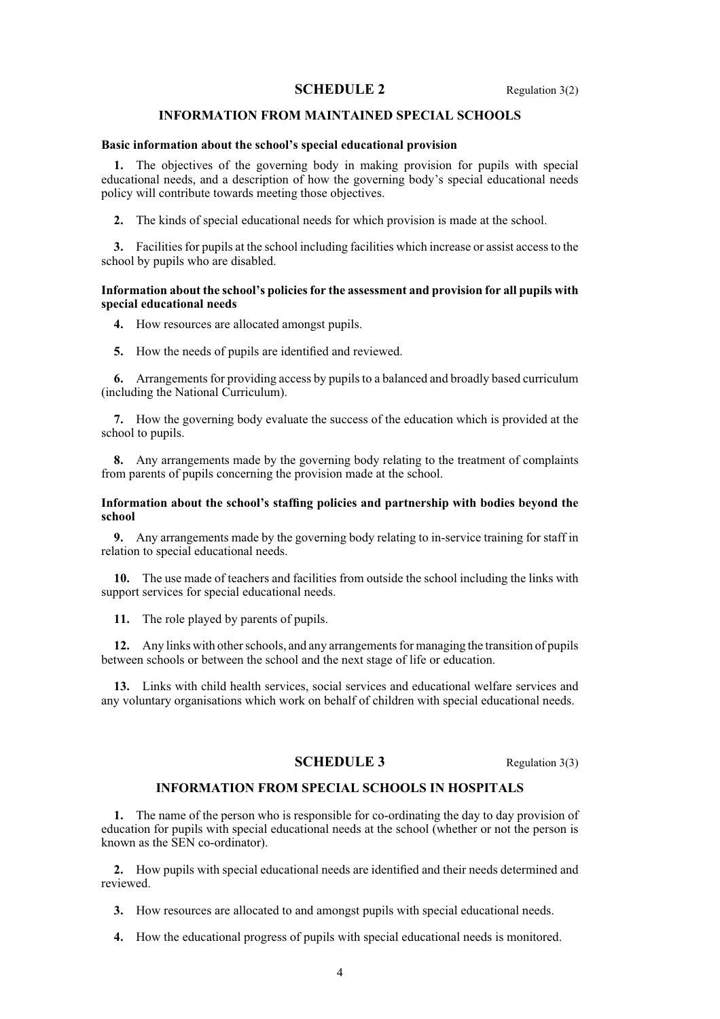## **SCHEDULE 2** Regulation 3(2)

## **INFORMATION FROM MAINTAINED SPECIAL SCHOOLS**

#### **Basic information about the school's special educational provision**

**1.** The objectives of the governing body in making provision for pupils with special educational needs, and a description of how the governing body's special educational needs policy will contribute towards meeting those objectives.

**2.** The kinds of special educational needs for which provision is made at the school.

**3.** Facilities for pupils at the school including facilities which increase or assist access to the school by pupils who are disabled.

#### **Information about the school's policies for the assessment and provision for all pupils with special educational needs**

- **4.** How resources are allocated amongst pupils.
- **5.** How the needs of pupils are identified and reviewed.

**6.** Arrangements for providing access by pupils to a balanced and broadly based curriculum (including the National Curriculum).

**7.** How the governing body evaluate the success of the education which is provided at the school to pupils.

**8.** Any arrangements made by the governing body relating to the treatment of complaints from parents of pupils concerning the provision made at the school.

#### **Information about the school's staffing policies and partnership with bodies beyond the school**

**9.** Any arrangements made by the governing body relating to in-service training for staff in relation to special educational needs.

**10.** The use made of teachers and facilities from outside the school including the links with support services for special educational needs.

**11.** The role played by parents of pupils.

**12.** Any links with other schools, and any arrangements for managing the transition of pupils between schools or between the school and the next stage of life or education.

**13.** Links with child health services, social services and educational welfare services and any voluntary organisations which work on behalf of children with special educational needs.

## **SCHEDULE 3** Regulation 3(3)

## **INFORMATION FROM SPECIAL SCHOOLS IN HOSPITALS**

**1.** The name of the person who is responsible for co-ordinating the day to day provision of education for pupils with special educational needs at the school (whether or not the person is known as the SEN co-ordinator).

**2.** How pupils with special educational needs are identified and their needs determined and reviewed.

**3.** How resources are allocated to and amongst pupils with special educational needs.

**4.** How the educational progress of pupils with special educational needs is monitored.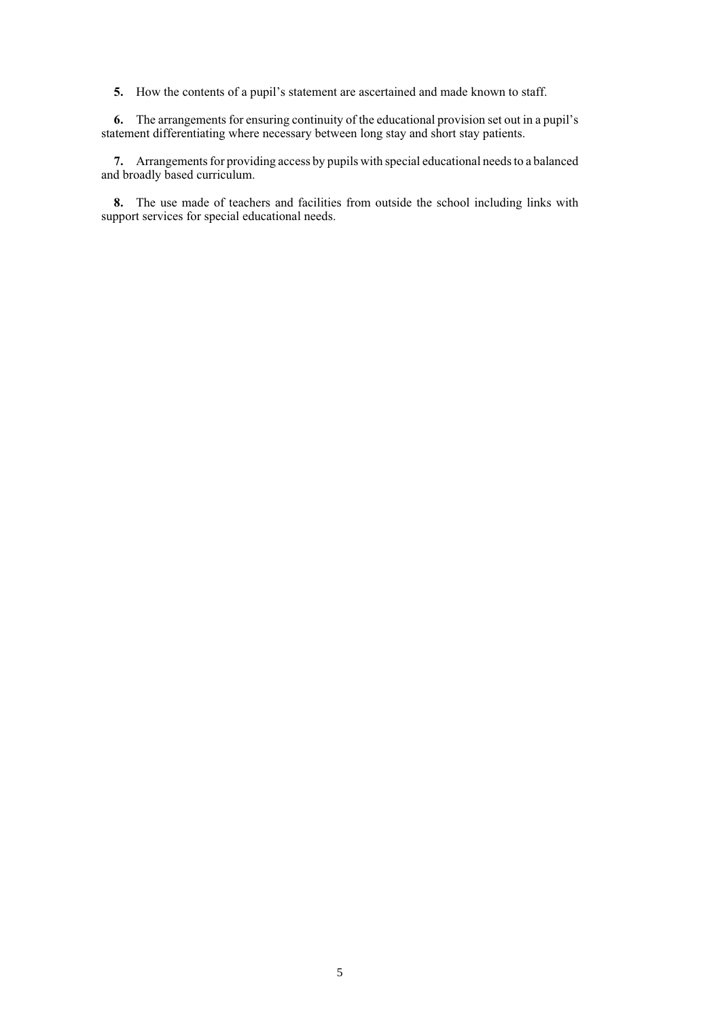**5.** How the contents of a pupil's statement are ascertained and made known to staff.

**6.** The arrangements for ensuring continuity of the educational provision set out in a pupil's statement differentiating where necessary between long stay and short stay patients.

**7.** Arrangements for providing access by pupils with special educational needs to a balanced and broadly based curriculum.

**8.** The use made of teachers and facilities from outside the school including links with support services for special educational needs.